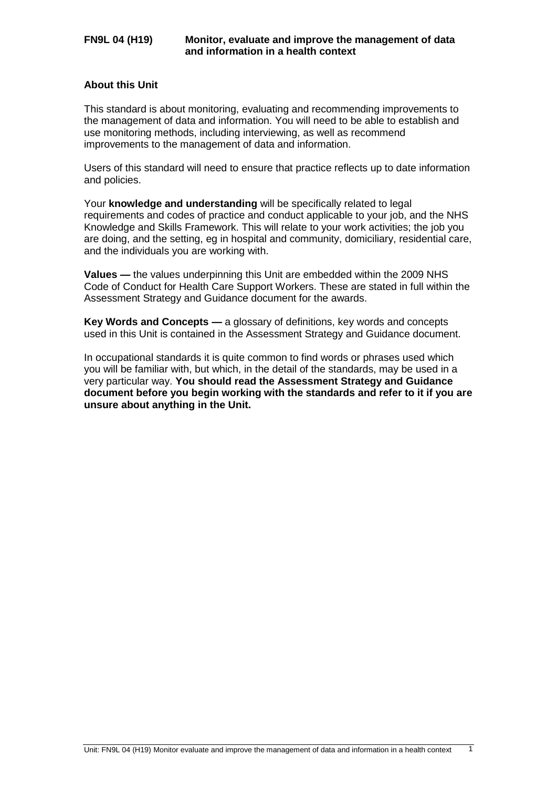# **About this Unit**

This standard is about monitoring, evaluating and recommending improvements to the management of data and information. You will need to be able to establish and use monitoring methods, including interviewing, as well as recommend improvements to the management of data and information.

Users of this standard will need to ensure that practice reflects up to date information and policies.

Your **knowledge and understanding** will be specifically related to legal requirements and codes of practice and conduct applicable to your job, and the NHS Knowledge and Skills Framework. This will relate to your work activities; the job you are doing, and the setting, eg in hospital and community, domiciliary, residential care, and the individuals you are working with.

**Values —** the values underpinning this Unit are embedded within the 2009 NHS Code of Conduct for Health Care Support Workers. These are stated in full within the Assessment Strategy and Guidance document for the awards.

**Key Words and Concepts —** a glossary of definitions, key words and concepts used in this Unit is contained in the Assessment Strategy and Guidance document.

In occupational standards it is quite common to find words or phrases used which you will be familiar with, but which, in the detail of the standards, may be used in a very particular way. **You should read the Assessment Strategy and Guidance document before you begin working with the standards and refer to it if you are unsure about anything in the Unit.**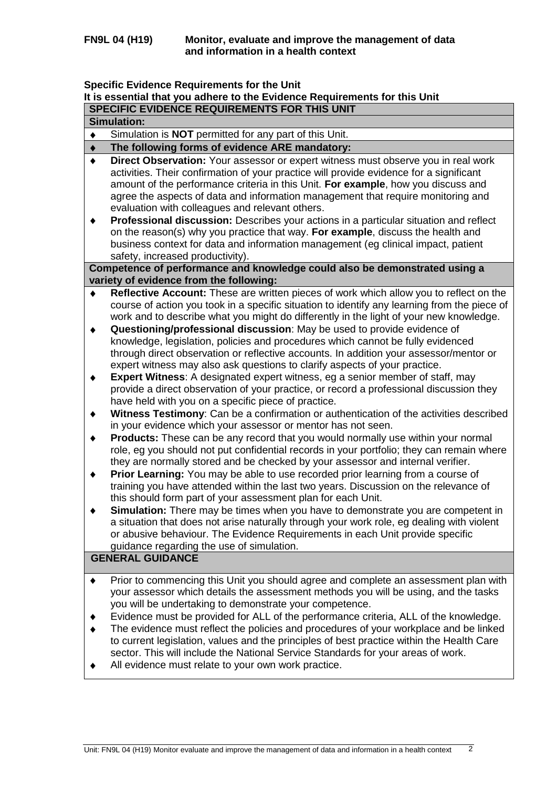### **Specific Evidence Requirements for the Unit**

# **It is essential that you adhere to the Evidence Requirements for this Unit**

|  | ∣ SPECIFIC EVIDENCE REQUIREMENTS FOR THIS UNIT |
|--|------------------------------------------------|
|  |                                                |

| Simulation: |
|-------------|
|             |

Simulation is **NOT** permitted for any part of this Unit.  $\blacklozenge$ 

#### **The following forms of evidence ARE mandatory:**  $\bullet$

- **Direct Observation:** Your assessor or expert witness must observe you in real work  $\bullet$ activities. Their confirmation of your practice will provide evidence for a significant amount of the performance criteria in this Unit. **For example**, how you discuss and agree the aspects of data and information management that require monitoring and evaluation with colleagues and relevant others.
- **Professional discussion:** Describes your actions in a particular situation and reflect  $\blacklozenge$ on the reason(s) why you practice that way. **For example**, discuss the health and business context for data and information management (eg clinical impact, patient safety, increased productivity).

**Competence of performance and knowledge could also be demonstrated using a variety of evidence from the following:**

- **Reflective Account:** These are written pieces of work which allow you to reflect on the course of action you took in a specific situation to identify any learning from the piece of work and to describe what you might do differently in the light of your new knowledge.
- $\blacklozenge$ **Questioning/professional discussion**: May be used to provide evidence of knowledge, legislation, policies and procedures which cannot be fully evidenced through direct observation or reflective accounts. In addition your assessor/mentor or expert witness may also ask questions to clarify aspects of your practice.
- **Expert Witness**: A designated expert witness, eg a senior member of staff, may  $\ddot{\bullet}$ provide a direct observation of your practice, or record a professional discussion they have held with you on a specific piece of practice.
- **Witness Testimony**: Can be a confirmation or authentication of the activities described  $\ddot{\bullet}$ in your evidence which your assessor or mentor has not seen.
- **Products:** These can be any record that you would normally use within your normal  $\bullet$ role, eg you should not put confidential records in your portfolio; they can remain where they are normally stored and be checked by your assessor and internal verifier.
- **Prior Learning:** You may be able to use recorded prior learning from a course of  $\blacklozenge$ training you have attended within the last two years. Discussion on the relevance of this should form part of your assessment plan for each Unit.
- $\blacklozenge$ **Simulation:** There may be times when you have to demonstrate you are competent in a situation that does not arise naturally through your work role, eg dealing with violent or abusive behaviour. The Evidence Requirements in each Unit provide specific guidance regarding the use of simulation.

# **GENERAL GUIDANCE**

- Prior to commencing this Unit you should agree and complete an assessment plan with  $\blacklozenge$ your assessor which details the assessment methods you will be using, and the tasks you will be undertaking to demonstrate your competence.
- Evidence must be provided for ALL of the performance criteria, ALL of the knowledge.
- The evidence must reflect the policies and procedures of your workplace and be linked to current legislation, values and the principles of best practice within the Health Care sector. This will include the National Service Standards for your areas of work.
- $\blacklozenge$ All evidence must relate to your own work practice.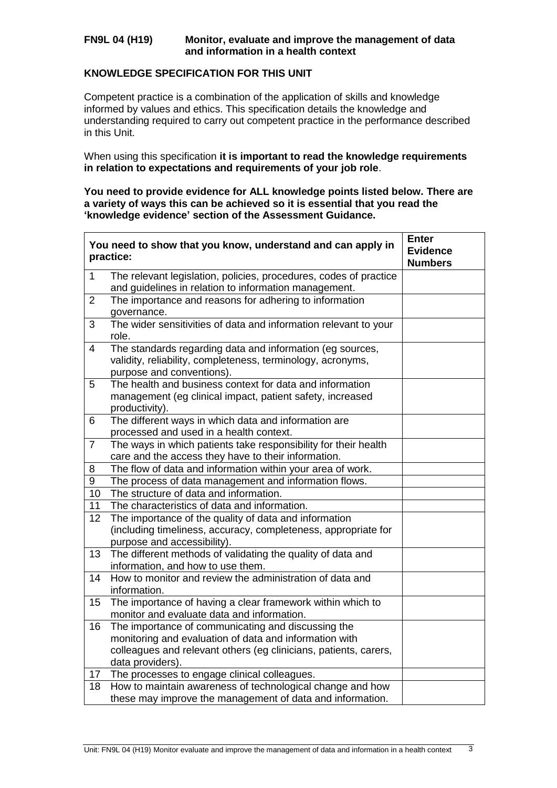## **FN9L 04 (H19) Monitor, evaluate and improve the management of data and information in a health context**

# **KNOWLEDGE SPECIFICATION FOR THIS UNIT**

 $\overline{a}$ 

Competent practice is a combination of the application of skills and knowledge informed by values and ethics. This specification details the knowledge and understanding required to carry out competent practice in the performance described in this Unit.

When using this specification **it is important to read the knowledge requirements in relation to expectations and requirements of your job role**.

**You need to provide evidence for ALL knowledge points listed below. There are a variety of ways this can be achieved so it is essential that you read the 'knowledge evidence' section of the Assessment Guidance.**

|                | You need to show that you know, understand and can apply in<br>practice:                                                                                                                             | <b>Enter</b><br><b>Evidence</b><br><b>Numbers</b> |
|----------------|------------------------------------------------------------------------------------------------------------------------------------------------------------------------------------------------------|---------------------------------------------------|
| $\mathbf{1}$   | The relevant legislation, policies, procedures, codes of practice<br>and guidelines in relation to information management.                                                                           |                                                   |
| $\overline{2}$ | The importance and reasons for adhering to information<br>governance.                                                                                                                                |                                                   |
| 3              | The wider sensitivities of data and information relevant to your<br>role.                                                                                                                            |                                                   |
| $\overline{4}$ | The standards regarding data and information (eg sources,<br>validity, reliability, completeness, terminology, acronyms,<br>purpose and conventions).                                                |                                                   |
| 5              | The health and business context for data and information<br>management (eg clinical impact, patient safety, increased<br>productivity).                                                              |                                                   |
| 6              | The different ways in which data and information are<br>processed and used in a health context.                                                                                                      |                                                   |
| $\overline{7}$ | The ways in which patients take responsibility for their health<br>care and the access they have to their information.                                                                               |                                                   |
| 8              | The flow of data and information within your area of work.                                                                                                                                           |                                                   |
| 9              | The process of data management and information flows.                                                                                                                                                |                                                   |
| 10             | The structure of data and information.                                                                                                                                                               |                                                   |
| 11             | The characteristics of data and information.                                                                                                                                                         |                                                   |
| 12             | The importance of the quality of data and information<br>(including timeliness, accuracy, completeness, appropriate for<br>purpose and accessibility).                                               |                                                   |
| 13             | The different methods of validating the quality of data and<br>information, and how to use them.                                                                                                     |                                                   |
| 14             | How to monitor and review the administration of data and<br>information.                                                                                                                             |                                                   |
| 15             | The importance of having a clear framework within which to<br>monitor and evaluate data and information.                                                                                             |                                                   |
| 16             | The importance of communicating and discussing the<br>monitoring and evaluation of data and information with<br>colleagues and relevant others (eg clinicians, patients, carers,<br>data providers). |                                                   |
| $17$           | The processes to engage clinical colleagues.                                                                                                                                                         |                                                   |
| 18             | How to maintain awareness of technological change and how<br>these may improve the management of data and information.                                                                               |                                                   |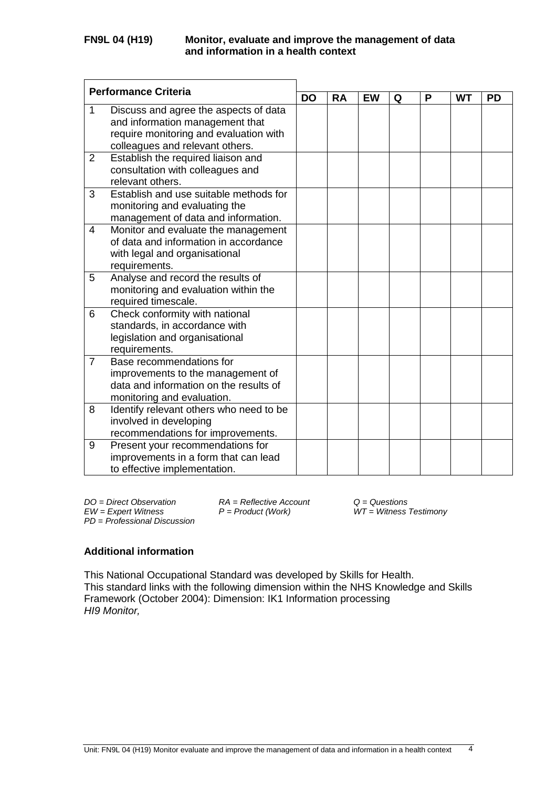| <b>Performance Criteria</b> |                                                                            | <b>DO</b> | <b>RA</b> | <b>EW</b> | Q | P | <b>WT</b> | <b>PD</b> |
|-----------------------------|----------------------------------------------------------------------------|-----------|-----------|-----------|---|---|-----------|-----------|
|                             |                                                                            |           |           |           |   |   |           |           |
| 1                           | Discuss and agree the aspects of data                                      |           |           |           |   |   |           |           |
|                             | and information management that                                            |           |           |           |   |   |           |           |
|                             | require monitoring and evaluation with                                     |           |           |           |   |   |           |           |
|                             | colleagues and relevant others.                                            |           |           |           |   |   |           |           |
| 2                           | Establish the required liaison and                                         |           |           |           |   |   |           |           |
|                             | consultation with colleagues and<br>relevant others.                       |           |           |           |   |   |           |           |
| 3                           | Establish and use suitable methods for                                     |           |           |           |   |   |           |           |
|                             |                                                                            |           |           |           |   |   |           |           |
|                             | monitoring and evaluating the                                              |           |           |           |   |   |           |           |
| 4                           | management of data and information.<br>Monitor and evaluate the management |           |           |           |   |   |           |           |
|                             | of data and information in accordance                                      |           |           |           |   |   |           |           |
|                             | with legal and organisational                                              |           |           |           |   |   |           |           |
|                             | requirements.                                                              |           |           |           |   |   |           |           |
| 5                           | Analyse and record the results of                                          |           |           |           |   |   |           |           |
|                             | monitoring and evaluation within the                                       |           |           |           |   |   |           |           |
|                             | required timescale.                                                        |           |           |           |   |   |           |           |
| 6                           | Check conformity with national                                             |           |           |           |   |   |           |           |
|                             | standards, in accordance with                                              |           |           |           |   |   |           |           |
|                             | legislation and organisational                                             |           |           |           |   |   |           |           |
|                             | requirements.                                                              |           |           |           |   |   |           |           |
| $\overline{7}$              | Base recommendations for                                                   |           |           |           |   |   |           |           |
|                             | improvements to the management of                                          |           |           |           |   |   |           |           |
|                             | data and information on the results of                                     |           |           |           |   |   |           |           |
|                             | monitoring and evaluation.                                                 |           |           |           |   |   |           |           |
| 8                           | Identify relevant others who need to be                                    |           |           |           |   |   |           |           |
|                             | involved in developing                                                     |           |           |           |   |   |           |           |
|                             | recommendations for improvements.                                          |           |           |           |   |   |           |           |
| 9                           | Present your recommendations for                                           |           |           |           |   |   |           |           |
|                             | improvements in a form that can lead                                       |           |           |           |   |   |           |           |
|                             | to effective implementation.                                               |           |           |           |   |   |           |           |

*DO = Direct Observation RA = Reflective Account Q = Questions PD* = *Professional Discussion*

 $WT = W$ *itness Testimony* 

# **Additional information**

This National Occupational Standard was developed by Skills for Health. This standard links with the following dimension within the NHS Knowledge and Skills Framework (October 2004): Dimension: IK1 Information processing *HI9 Monitor,*